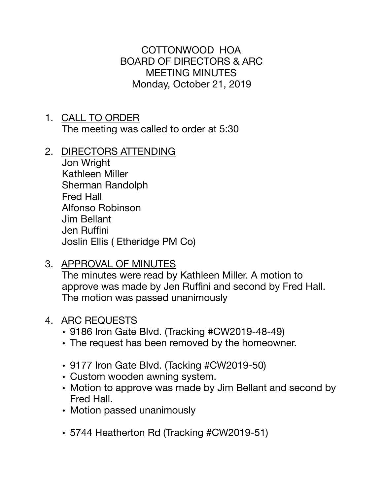COTTONWOOD HOA BOARD OF DIRECTORS & ARC MEETING MINUTES Monday, October 21, 2019

- 1. CALL TO ORDER The meeting was called to order at 5:30
- 2. DIRECTORS ATTENDING

Jon Wright Kathleen Miller Sherman Randolph Fred Hall Alfonso Robinson Jim Bellant Jen Ruffini Joslin Ellis ( Etheridge PM Co)

3. APPROVAL OF MINUTES

The minutes were read by Kathleen Miller. A motion to approve was made by Jen Ruffini and second by Fred Hall. The motion was passed unanimously

## 4. ARC REQUESTS

- 9186 Iron Gate Blvd. (Tracking #CW2019-48-49)
- The request has been removed by the homeowner.
- 9177 Iron Gate Blvd. (Tacking #CW2019-50)
- Custom wooden awning system.
- Motion to approve was made by Jim Bellant and second by Fred Hall.
- Motion passed unanimously
- 5744 Heatherton Rd (Tracking #CW2019-51)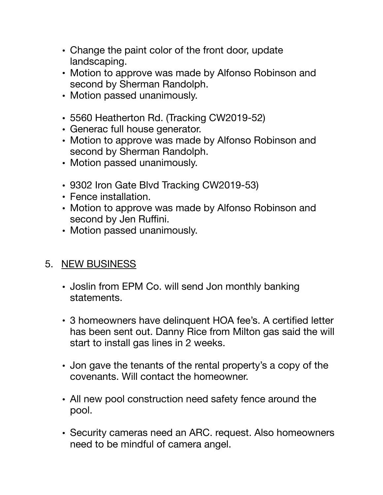- Change the paint color of the front door, update landscaping.
- Motion to approve was made by Alfonso Robinson and second by Sherman Randolph.
- Motion passed unanimously.
- 5560 Heatherton Rd. (Tracking CW2019-52)
- Generac full house generator.
- Motion to approve was made by Alfonso Robinson and second by Sherman Randolph.
- Motion passed unanimously.
- 9302 Iron Gate Blvd Tracking CW2019-53)
- Fence installation.
- Motion to approve was made by Alfonso Robinson and second by Jen Ruffini.
- Motion passed unanimously.

## 5. NEW BUSINESS

- Joslin from EPM Co. will send Jon monthly banking statements.
- 3 homeowners have delinquent HOA fee's. A certified letter has been sent out. Danny Rice from Milton gas said the will start to install gas lines in 2 weeks.
- Jon gave the tenants of the rental property's a copy of the covenants. Will contact the homeowner.
- All new pool construction need safety fence around the pool.
- Security cameras need an ARC. request. Also homeowners need to be mindful of camera angel.